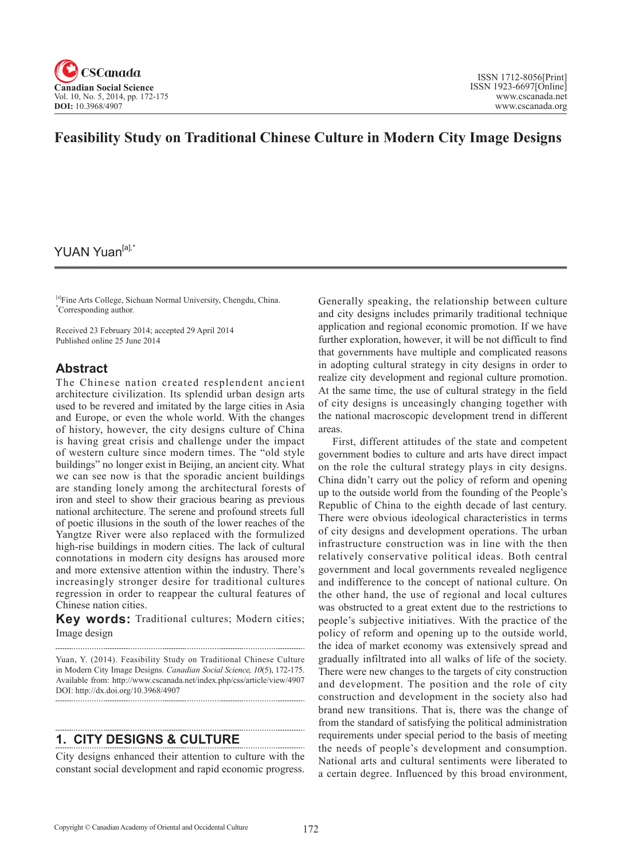

# **Feasibility Study on Traditional Chinese Culture in Modern City Image Designs**

# YUAN Yuan<sup>[a],\*</sup>

[a]Fine Arts College, Sichuan Normal University, Chengdu, China. \* Corresponding author.

Received 23 February 2014; accepted 29 April 2014 Published online 25 June 2014

## **Abstract**

The Chinese nation created resplendent ancient architecture civilization. Its splendid urban design arts used to be revered and imitated by the large cities in Asia and Europe, or even the whole world. With the changes of history, however, the city designs culture of China is having great crisis and challenge under the impact of western culture since modern times. The "old style buildings" no longer exist in Beijing, an ancient city. What we can see now is that the sporadic ancient buildings are standing lonely among the architectural forests of iron and steel to show their gracious bearing as previous national architecture. The serene and profound streets full of poetic illusions in the south of the lower reaches of the Yangtze River were also replaced with the formulized high-rise buildings in modern cities. The lack of cultural connotations in modern city designs has aroused more and more extensive attention within the industry. There's increasingly stronger desire for traditional cultures regression in order to reappear the cultural features of Chinese nation cities.

**Key words:** Traditional cultures; Modern cities; Image design

Yuan, Y. (2014). Feasibility Study on Traditional Chinese Culture in Modern City Image Designs. *Canadian Social Science*, <sup>10</sup>(5), 172-175. Available from: http://www.cscanada.net/index.php/css/article/view/4907 DOI: http://dx.doi.org/10.3968/4907

# **1. CITY DESIGNS & CULTURE**

City designs enhanced their attention to culture with the constant social development and rapid economic progress.

Generally speaking, the relationship between culture and city designs includes primarily traditional technique application and regional economic promotion. If we have further exploration, however, it will be not difficult to find that governments have multiple and complicated reasons in adopting cultural strategy in city designs in order to realize city development and regional culture promotion. At the same time, the use of cultural strategy in the field of city designs is unceasingly changing together with the national macroscopic development trend in different areas.

First, different attitudes of the state and competent government bodies to culture and arts have direct impact on the role the cultural strategy plays in city designs. China didn't carry out the policy of reform and opening up to the outside world from the founding of the People's Republic of China to the eighth decade of last century. There were obvious ideological characteristics in terms of city designs and development operations. The urban infrastructure construction was in line with the then relatively conservative political ideas. Both central government and local governments revealed negligence and indifference to the concept of national culture. On the other hand, the use of regional and local cultures was obstructed to a great extent due to the restrictions to people's subjective initiatives. With the practice of the policy of reform and opening up to the outside world, the idea of market economy was extensively spread and gradually infiltrated into all walks of life of the society. There were new changes to the targets of city construction and development. The position and the role of city construction and development in the society also had brand new transitions. That is, there was the change of from the standard of satisfying the political administration requirements under special period to the basis of meeting the needs of people's development and consumption. National arts and cultural sentiments were liberated to a certain degree. Influenced by this broad environment,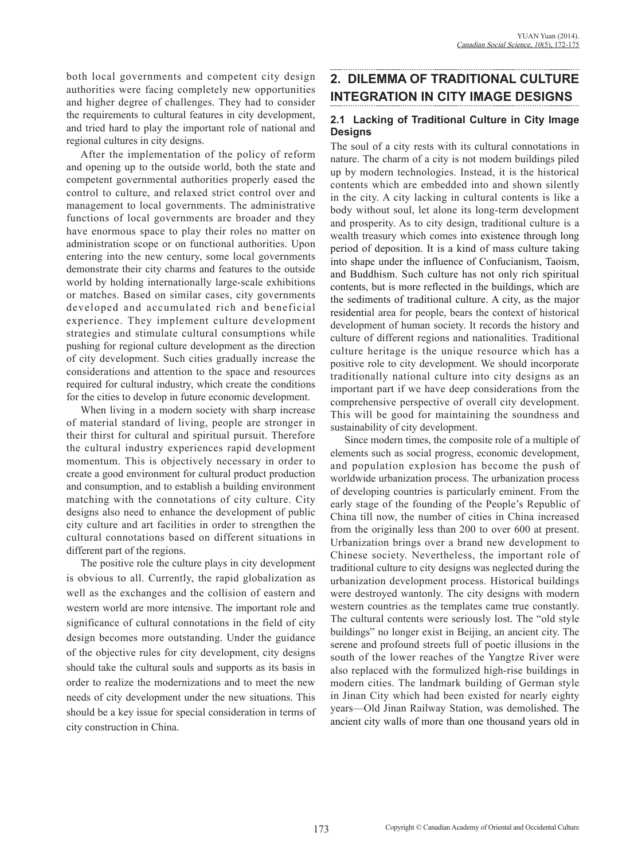both local governments and competent city design authorities were facing completely new opportunities and higher degree of challenges. They had to consider the requirements to cultural features in city development, and tried hard to play the important role of national and regional cultures in city designs.

After the implementation of the policy of reform and opening up to the outside world, both the state and competent governmental authorities properly eased the control to culture, and relaxed strict control over and management to local governments. The administrative functions of local governments are broader and they have enormous space to play their roles no matter on administration scope or on functional authorities. Upon entering into the new century, some local governments demonstrate their city charms and features to the outside world by holding internationally large-scale exhibitions or matches. Based on similar cases, city governments developed and accumulated rich and beneficial experience. They implement culture development strategies and stimulate cultural consumptions while pushing for regional culture development as the direction of city development. Such cities gradually increase the considerations and attention to the space and resources required for cultural industry, which create the conditions for the cities to develop in future economic development.

When living in a modern society with sharp increase of material standard of living, people are stronger in their thirst for cultural and spiritual pursuit. Therefore the cultural industry experiences rapid development momentum. This is objectively necessary in order to create a good environment for cultural product production and consumption, and to establish a building environment matching with the connotations of city culture. City designs also need to enhance the development of public city culture and art facilities in order to strengthen the cultural connotations based on different situations in different part of the regions.

The positive role the culture plays in city development is obvious to all. Currently, the rapid globalization as well as the exchanges and the collision of eastern and western world are more intensive. The important role and significance of cultural connotations in the field of city design becomes more outstanding. Under the guidance of the objective rules for city development, city designs should take the cultural souls and supports as its basis in order to realize the modernizations and to meet the new needs of city development under the new situations. This should be a key issue for special consideration in terms of city construction in China.

# **2. DILEMMA OF TRADITIONAL CULTURE INTEGRATION IN CITY IMAGE DESIGNS**

## **2.1 Lacking of Traditional Culture in City Image Designs**

The soul of a city rests with its cultural connotations in nature. The charm of a city is not modern buildings piled up by modern technologies. Instead, it is the historical contents which are embedded into and shown silently in the city. A city lacking in cultural contents is like a body without soul, let alone its long-term development and prosperity. As to city design, traditional culture is a wealth treasury which comes into existence through long period of deposition. It is a kind of mass culture taking into shape under the influence of Confucianism, Taoism, and Buddhism. Such culture has not only rich spiritual contents, but is more reflected in the buildings, which are the sediments of traditional culture. A city, as the major residential area for people, bears the context of historical development of human society. It records the history and culture of different regions and nationalities. Traditional culture heritage is the unique resource which has a positive role to city development. We should incorporate traditionally national culture into city designs as an important part if we have deep considerations from the comprehensive perspective of overall city development. This will be good for maintaining the soundness and sustainability of city development.

Since modern times, the composite role of a multiple of elements such as social progress, economic development, and population explosion has become the push of worldwide urbanization process. The urbanization process of developing countries is particularly eminent. From the early stage of the founding of the People's Republic of China till now, the number of cities in China increased from the originally less than 200 to over 600 at present. Urbanization brings over a brand new development to Chinese society. Nevertheless, the important role of traditional culture to city designs was neglected during the urbanization development process. Historical buildings were destroyed wantonly. The city designs with modern western countries as the templates came true constantly. The cultural contents were seriously lost. The "old style buildings" no longer exist in Beijing, an ancient city. The serene and profound streets full of poetic illusions in the south of the lower reaches of the Yangtze River were also replaced with the formulized high-rise buildings in modern cities. The landmark building of German style in Jinan City which had been existed for nearly eighty years—Old Jinan Railway Station, was demolished. The ancient city walls of more than one thousand years old in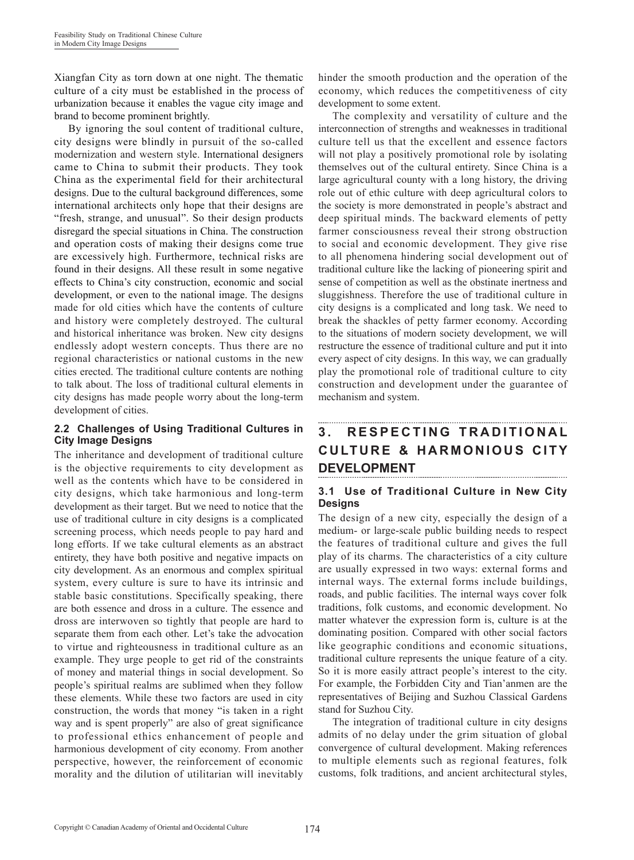Xiangfan City as torn down at one night. The thematic culture of a city must be established in the process of urbanization because it enables the vague city image and brand to become prominent brightly.

By ignoring the soul content of traditional culture, city designs were blindly in pursuit of the so-called modernization and western style. International designers came to China to submit their products. They took China as the experimental field for their architectural designs. Due to the cultural background differences, some international architects only hope that their designs are "fresh, strange, and unusual". So their design products disregard the special situations in China. The construction and operation costs of making their designs come true are excessively high. Furthermore, technical risks are found in their designs. All these result in some negative effects to China's city construction, economic and social development, or even to the national image. The designs made for old cities which have the contents of culture and history were completely destroyed. The cultural and historical inheritance was broken. New city designs endlessly adopt western concepts. Thus there are no regional characteristics or national customs in the new cities erected. The traditional culture contents are nothing to talk about. The loss of traditional cultural elements in city designs has made people worry about the long-term development of cities.

### **2.2 Challenges of Using Traditional Cultures in City Image Designs**

The inheritance and development of traditional culture is the objective requirements to city development as well as the contents which have to be considered in city designs, which take harmonious and long-term development as their target. But we need to notice that the use of traditional culture in city designs is a complicated screening process, which needs people to pay hard and long efforts. If we take cultural elements as an abstract entirety, they have both positive and negative impacts on city development. As an enormous and complex spiritual system, every culture is sure to have its intrinsic and stable basic constitutions. Specifically speaking, there are both essence and dross in a culture. The essence and dross are interwoven so tightly that people are hard to separate them from each other. Let's take the advocation to virtue and righteousness in traditional culture as an example. They urge people to get rid of the constraints of money and material things in social development. So people's spiritual realms are sublimed when they follow these elements. While these two factors are used in city construction, the words that money "is taken in a right way and is spent properly" are also of great significance to professional ethics enhancement of people and harmonious development of city economy. From another perspective, however, the reinforcement of economic morality and the dilution of utilitarian will inevitably hinder the smooth production and the operation of the economy, which reduces the competitiveness of city development to some extent.

The complexity and versatility of culture and the interconnection of strengths and weaknesses in traditional culture tell us that the excellent and essence factors will not play a positively promotional role by isolating themselves out of the cultural entirety. Since China is a large agricultural county with a long history, the driving role out of ethic culture with deep agricultural colors to the society is more demonstrated in people's abstract and deep spiritual minds. The backward elements of petty farmer consciousness reveal their strong obstruction to social and economic development. They give rise to all phenomena hindering social development out of traditional culture like the lacking of pioneering spirit and sense of competition as well as the obstinate inertness and sluggishness. Therefore the use of traditional culture in city designs is a complicated and long task. We need to break the shackles of petty farmer economy. According to the situations of modern society development, we will restructure the essence of traditional culture and put it into every aspect of city designs. In this way, we can gradually play the promotional role of traditional culture to city construction and development under the guarantee of mechanism and system.

#### **3 . R E S P E C T I N G T R A D I T I O N A L CULTURE & HARMONIOUS CITY DEVELOPMENT**

## **3.1 Use of Traditional Culture in New City Designs**

The design of a new city, especially the design of a medium- or large-scale public building needs to respect the features of traditional culture and gives the full play of its charms. The characteristics of a city culture are usually expressed in two ways: external forms and internal ways. The external forms include buildings, roads, and public facilities. The internal ways cover folk traditions, folk customs, and economic development. No matter whatever the expression form is, culture is at the dominating position. Compared with other social factors like geographic conditions and economic situations, traditional culture represents the unique feature of a city. So it is more easily attract people's interest to the city. For example, the Forbidden City and Tian'anmen are the representatives of Beijing and Suzhou Classical Gardens stand for Suzhou City.

The integration of traditional culture in city designs admits of no delay under the grim situation of global convergence of cultural development. Making references to multiple elements such as regional features, folk customs, folk traditions, and ancient architectural styles,